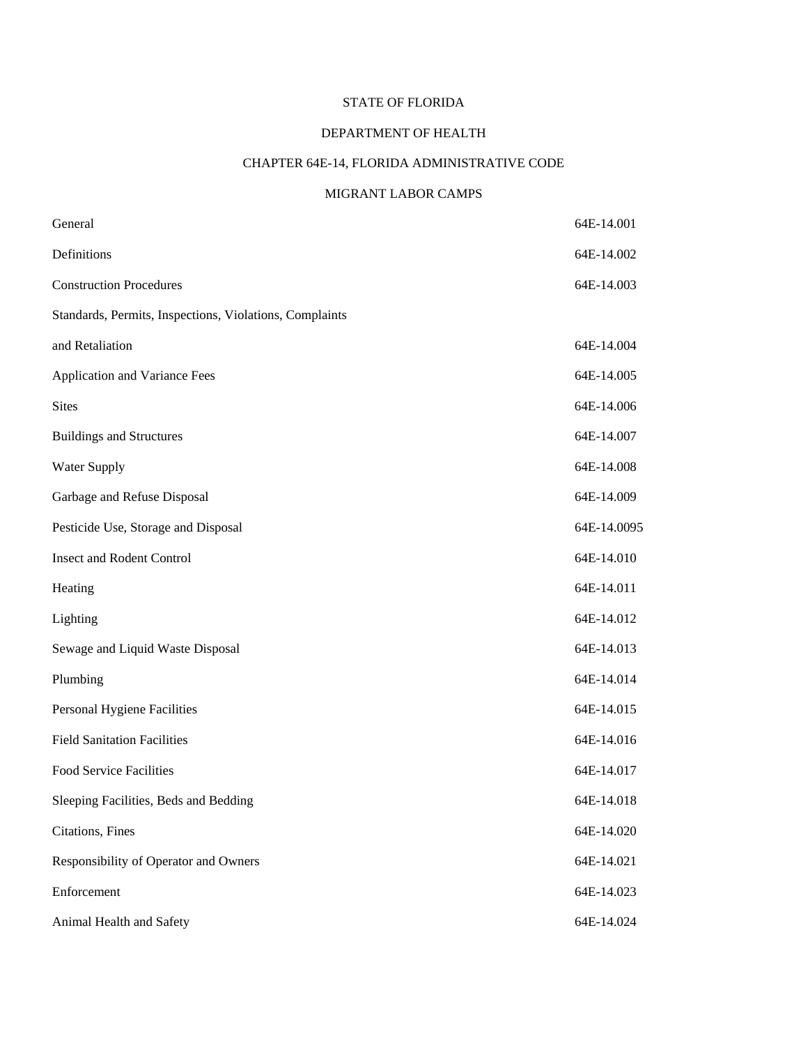# STATE OF FLORIDA

# DEPARTMENT OF HEALTH

# CHAPTER 64E-14, FLORIDA ADMINISTRATIVE CODE

# MIGRANT LABOR CAMPS

| General                                                 | 64E-14.001  |
|---------------------------------------------------------|-------------|
| Definitions                                             | 64E-14.002  |
| <b>Construction Procedures</b>                          | 64E-14.003  |
| Standards, Permits, Inspections, Violations, Complaints |             |
| and Retaliation                                         | 64E-14.004  |
| Application and Variance Fees                           | 64E-14.005  |
| <b>Sites</b>                                            | 64E-14.006  |
| <b>Buildings and Structures</b>                         | 64E-14.007  |
| Water Supply                                            | 64E-14.008  |
| Garbage and Refuse Disposal                             | 64E-14.009  |
| Pesticide Use, Storage and Disposal                     | 64E-14.0095 |
| <b>Insect and Rodent Control</b>                        | 64E-14.010  |
| Heating                                                 | 64E-14.011  |
| Lighting                                                | 64E-14.012  |
| Sewage and Liquid Waste Disposal                        | 64E-14.013  |
| Plumbing                                                | 64E-14.014  |
| Personal Hygiene Facilities                             | 64E-14.015  |
| <b>Field Sanitation Facilities</b>                      | 64E-14.016  |
| Food Service Facilities                                 | 64E-14.017  |
| Sleeping Facilities, Beds and Bedding                   | 64E-14.018  |
| Citations, Fines                                        | 64E-14.020  |
| Responsibility of Operator and Owners                   | 64E-14.021  |
| Enforcement                                             | 64E-14.023  |
| Animal Health and Safety                                | 64E-14.024  |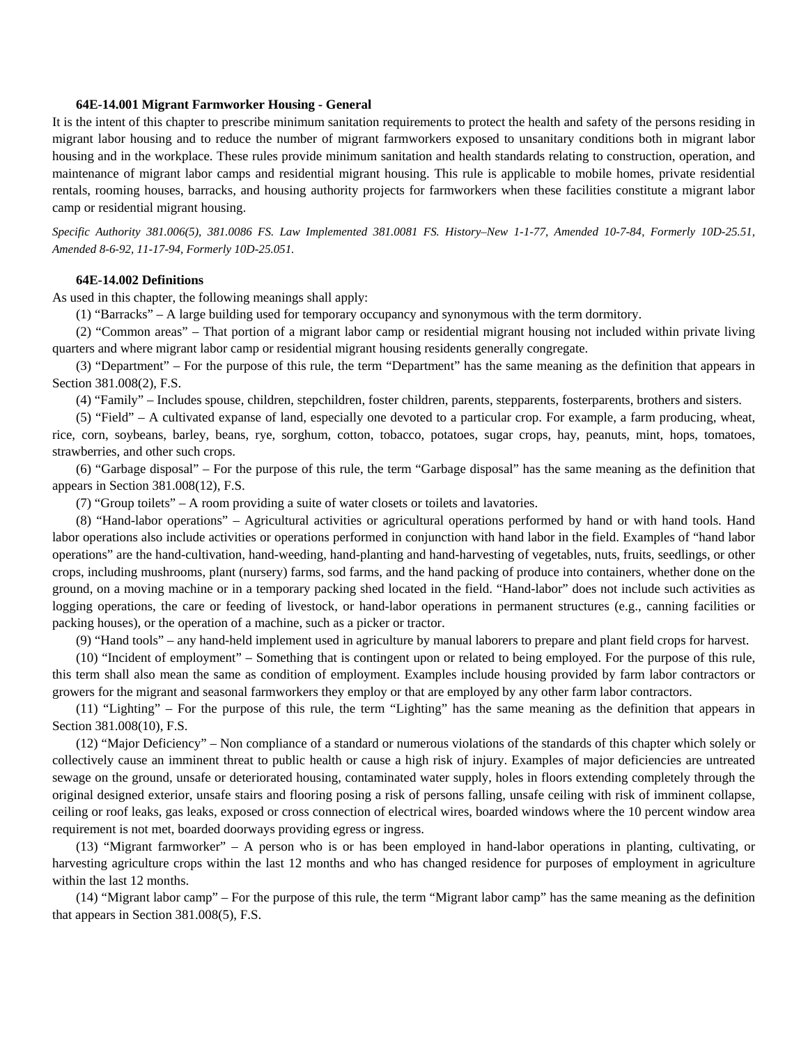## **64E-14.001 Migrant Farmworker Housing - General**

It is the intent of this chapter to prescribe minimum sanitation requirements to protect the health and safety of the persons residing in migrant labor housing and to reduce the number of migrant farmworkers exposed to unsanitary conditions both in migrant labor housing and in the workplace. These rules provide minimum sanitation and health standards relating to construction, operation, and maintenance of migrant labor camps and residential migrant housing. This rule is applicable to mobile homes, private residential rentals, rooming houses, barracks, and housing authority projects for farmworkers when these facilities constitute a migrant labor camp or residential migrant housing.

*Specific Authority 381.006(5), 381.0086 FS. Law Implemented 381.0081 FS. History–New 1-1-77, Amended 10-7-84, Formerly 10D-25.51, Amended 8-6-92, 11-17-94, Formerly 10D-25.051.* 

#### **64E-14.002 Definitions**

As used in this chapter, the following meanings shall apply:

(1) "Barracks" – A large building used for temporary occupancy and synonymous with the term dormitory.

(2) "Common areas" – That portion of a migrant labor camp or residential migrant housing not included within private living quarters and where migrant labor camp or residential migrant housing residents generally congregate.

(3) "Department" – For the purpose of this rule, the term "Department" has the same meaning as the definition that appears in Section 381.008(2), F.S.

(4) "Family" – Includes spouse, children, stepchildren, foster children, parents, stepparents, fosterparents, brothers and sisters.

(5) "Field" – A cultivated expanse of land, especially one devoted to a particular crop. For example, a farm producing, wheat, rice, corn, soybeans, barley, beans, rye, sorghum, cotton, tobacco, potatoes, sugar crops, hay, peanuts, mint, hops, tomatoes, strawberries, and other such crops.

(6) "Garbage disposal" – For the purpose of this rule, the term "Garbage disposal" has the same meaning as the definition that appears in Section 381.008(12), F.S.

(7) "Group toilets" – A room providing a suite of water closets or toilets and lavatories.

(8) "Hand-labor operations" – Agricultural activities or agricultural operations performed by hand or with hand tools. Hand labor operations also include activities or operations performed in conjunction with hand labor in the field. Examples of "hand labor operations" are the hand-cultivation, hand-weeding, hand-planting and hand-harvesting of vegetables, nuts, fruits, seedlings, or other crops, including mushrooms, plant (nursery) farms, sod farms, and the hand packing of produce into containers, whether done on the ground, on a moving machine or in a temporary packing shed located in the field. "Hand-labor" does not include such activities as logging operations, the care or feeding of livestock, or hand-labor operations in permanent structures (e.g., canning facilities or packing houses), or the operation of a machine, such as a picker or tractor.

(9) "Hand tools" – any hand-held implement used in agriculture by manual laborers to prepare and plant field crops for harvest.

(10) "Incident of employment" – Something that is contingent upon or related to being employed. For the purpose of this rule, this term shall also mean the same as condition of employment. Examples include housing provided by farm labor contractors or growers for the migrant and seasonal farmworkers they employ or that are employed by any other farm labor contractors.

(11) "Lighting" – For the purpose of this rule, the term "Lighting" has the same meaning as the definition that appears in Section 381.008(10), F.S.

(12) "Major Deficiency" – Non compliance of a standard or numerous violations of the standards of this chapter which solely or collectively cause an imminent threat to public health or cause a high risk of injury. Examples of major deficiencies are untreated sewage on the ground, unsafe or deteriorated housing, contaminated water supply, holes in floors extending completely through the original designed exterior, unsafe stairs and flooring posing a risk of persons falling, unsafe ceiling with risk of imminent collapse, ceiling or roof leaks, gas leaks, exposed or cross connection of electrical wires, boarded windows where the 10 percent window area requirement is not met, boarded doorways providing egress or ingress.

(13) "Migrant farmworker" – A person who is or has been employed in hand-labor operations in planting, cultivating, or harvesting agriculture crops within the last 12 months and who has changed residence for purposes of employment in agriculture within the last 12 months.

(14) "Migrant labor camp" – For the purpose of this rule, the term "Migrant labor camp" has the same meaning as the definition that appears in Section 381.008(5), F.S.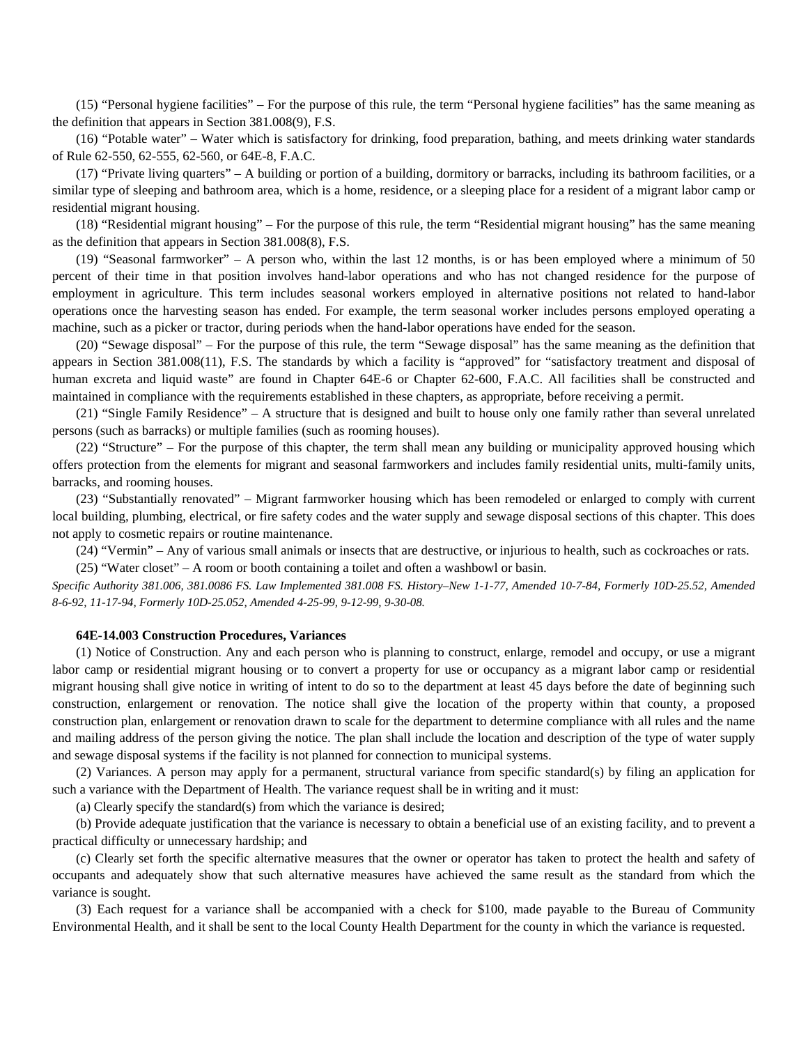(15) "Personal hygiene facilities" – For the purpose of this rule, the term "Personal hygiene facilities" has the same meaning as the definition that appears in Section 381.008(9), F.S.

(16) "Potable water" – Water which is satisfactory for drinking, food preparation, bathing, and meets drinking water standards of Rule 62-550, 62-555, 62-560, or 64E-8, F.A.C.

(17) "Private living quarters" – A building or portion of a building, dormitory or barracks, including its bathroom facilities, or a similar type of sleeping and bathroom area, which is a home, residence, or a sleeping place for a resident of a migrant labor camp or residential migrant housing.

(18) "Residential migrant housing" – For the purpose of this rule, the term "Residential migrant housing" has the same meaning as the definition that appears in Section 381.008(8), F.S.

(19) "Seasonal farmworker" – A person who, within the last 12 months, is or has been employed where a minimum of 50 percent of their time in that position involves hand-labor operations and who has not changed residence for the purpose of employment in agriculture. This term includes seasonal workers employed in alternative positions not related to hand-labor operations once the harvesting season has ended. For example, the term seasonal worker includes persons employed operating a machine, such as a picker or tractor, during periods when the hand-labor operations have ended for the season.

(20) "Sewage disposal" – For the purpose of this rule, the term "Sewage disposal" has the same meaning as the definition that appears in Section 381.008(11), F.S. The standards by which a facility is "approved" for "satisfactory treatment and disposal of human excreta and liquid waste" are found in Chapter 64E-6 or Chapter 62-600, F.A.C. All facilities shall be constructed and maintained in compliance with the requirements established in these chapters, as appropriate, before receiving a permit.

(21) "Single Family Residence" – A structure that is designed and built to house only one family rather than several unrelated persons (such as barracks) or multiple families (such as rooming houses).

(22) "Structure" – For the purpose of this chapter, the term shall mean any building or municipality approved housing which offers protection from the elements for migrant and seasonal farmworkers and includes family residential units, multi-family units, barracks, and rooming houses.

(23) "Substantially renovated" – Migrant farmworker housing which has been remodeled or enlarged to comply with current local building, plumbing, electrical, or fire safety codes and the water supply and sewage disposal sections of this chapter. This does not apply to cosmetic repairs or routine maintenance.

(24) "Vermin" – Any of various small animals or insects that are destructive, or injurious to health, such as cockroaches or rats.

(25) "Water closet" – A room or booth containing a toilet and often a washbowl or basin.

*Specific Authority 381.006, 381.0086 FS. Law Implemented 381.008 FS. History–New 1-1-77, Amended 10-7-84, Formerly 10D-25.52, Amended 8-6-92, 11-17-94, Formerly 10D-25.052, Amended 4-25-99, 9-12-99, 9-30-08.* 

# **64E-14.003 Construction Procedures, Variances**

(1) Notice of Construction. Any and each person who is planning to construct, enlarge, remodel and occupy, or use a migrant labor camp or residential migrant housing or to convert a property for use or occupancy as a migrant labor camp or residential migrant housing shall give notice in writing of intent to do so to the department at least 45 days before the date of beginning such construction, enlargement or renovation. The notice shall give the location of the property within that county, a proposed construction plan, enlargement or renovation drawn to scale for the department to determine compliance with all rules and the name and mailing address of the person giving the notice. The plan shall include the location and description of the type of water supply and sewage disposal systems if the facility is not planned for connection to municipal systems.

(2) Variances. A person may apply for a permanent, structural variance from specific standard(s) by filing an application for such a variance with the Department of Health. The variance request shall be in writing and it must:

(a) Clearly specify the standard(s) from which the variance is desired;

(b) Provide adequate justification that the variance is necessary to obtain a beneficial use of an existing facility, and to prevent a practical difficulty or unnecessary hardship; and

(c) Clearly set forth the specific alternative measures that the owner or operator has taken to protect the health and safety of occupants and adequately show that such alternative measures have achieved the same result as the standard from which the variance is sought.

(3) Each request for a variance shall be accompanied with a check for \$100, made payable to the Bureau of Community Environmental Health, and it shall be sent to the local County Health Department for the county in which the variance is requested.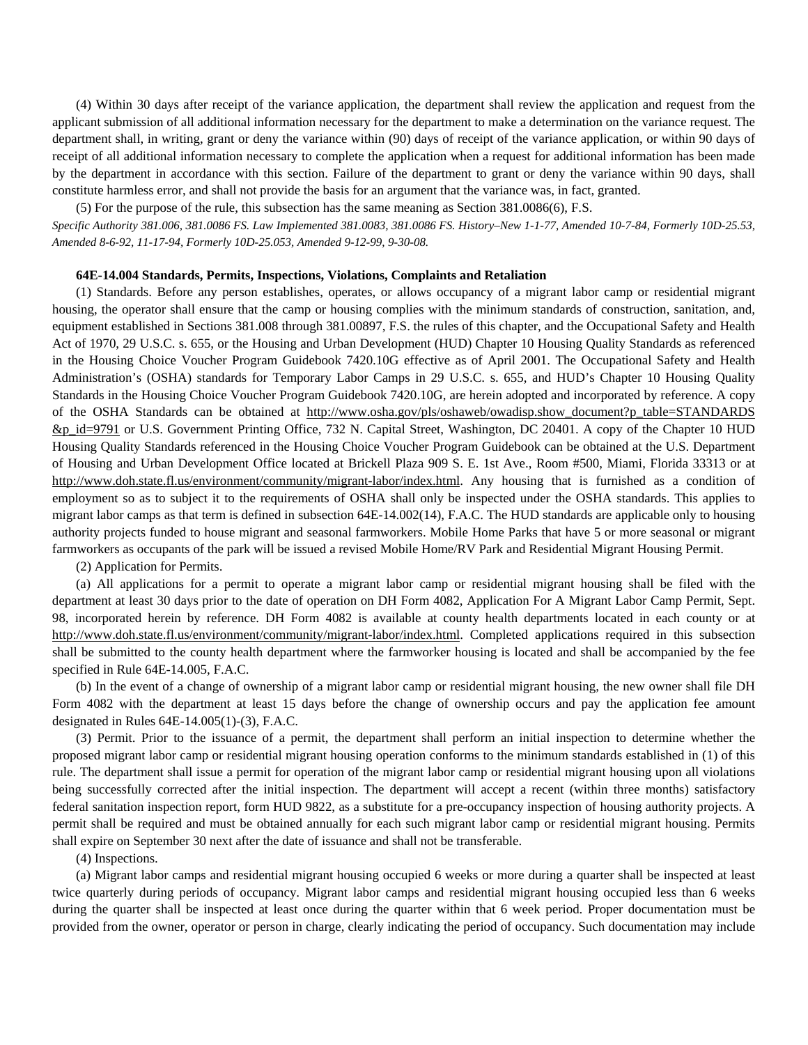(4) Within 30 days after receipt of the variance application, the department shall review the application and request from the applicant submission of all additional information necessary for the department to make a determination on the variance request. The department shall, in writing, grant or deny the variance within (90) days of receipt of the variance application, or within 90 days of receipt of all additional information necessary to complete the application when a request for additional information has been made by the department in accordance with this section. Failure of the department to grant or deny the variance within 90 days, shall constitute harmless error, and shall not provide the basis for an argument that the variance was, in fact, granted.

(5) For the purpose of the rule, this subsection has the same meaning as Section 381.0086(6), F.S.

*Specific Authority 381.006, 381.0086 FS. Law Implemented 381.0083, 381.0086 FS. History–New 1-1-77, Amended 10-7-84, Formerly 10D-25.53, Amended 8-6-92, 11-17-94, Formerly 10D-25.053, Amended 9-12-99, 9-30-08.* 

#### **64E-14.004 Standards, Permits, Inspections, Violations, Complaints and Retaliation**

(1) Standards. Before any person establishes, operates, or allows occupancy of a migrant labor camp or residential migrant housing, the operator shall ensure that the camp or housing complies with the minimum standards of construction, sanitation, and, equipment established in Sections 381.008 through 381.00897, F.S. the rules of this chapter, and the Occupational Safety and Health Act of 1970, 29 U.S.C. s. 655, or the Housing and Urban Development (HUD) Chapter 10 Housing Quality Standards as referenced in the Housing Choice Voucher Program Guidebook 7420.10G effective as of April 2001. The Occupational Safety and Health Administration's (OSHA) standards for Temporary Labor Camps in 29 U.S.C. s. 655, and HUD's Chapter 10 Housing Quality Standards in the Housing Choice Voucher Program Guidebook 7420.10G, are herein adopted and incorporated by reference. A copy of the OSHA Standards can be obtained at http://www.osha.gov/pls/oshaweb/owadisp.show\_document?p\_table=STANDARDS &p\_id=9791 or U.S. Government Printing Office, 732 N. Capital Street, Washington, DC 20401. A copy of the Chapter 10 HUD Housing Quality Standards referenced in the Housing Choice Voucher Program Guidebook can be obtained at the U.S. Department of Housing and Urban Development Office located at Brickell Plaza 909 S. E. 1st Ave., Room #500, Miami, Florida 33313 or at http://www.doh.state.fl.us/environment/community/migrant-labor/index.html. Any housing that is furnished as a condition of employment so as to subject it to the requirements of OSHA shall only be inspected under the OSHA standards. This applies to migrant labor camps as that term is defined in subsection 64E-14.002(14), F.A.C. The HUD standards are applicable only to housing authority projects funded to house migrant and seasonal farmworkers. Mobile Home Parks that have 5 or more seasonal or migrant farmworkers as occupants of the park will be issued a revised Mobile Home/RV Park and Residential Migrant Housing Permit.

# (2) Application for Permits.

(a) All applications for a permit to operate a migrant labor camp or residential migrant housing shall be filed with the department at least 30 days prior to the date of operation on DH Form 4082, Application For A Migrant Labor Camp Permit, Sept. 98, incorporated herein by reference. DH Form 4082 is available at county health departments located in each county or at http://www.doh.state.fl.us/environment/community/migrant-labor/index.html. Completed applications required in this subsection shall be submitted to the county health department where the farmworker housing is located and shall be accompanied by the fee specified in Rule 64E-14.005, F.A.C.

(b) In the event of a change of ownership of a migrant labor camp or residential migrant housing, the new owner shall file DH Form 4082 with the department at least 15 days before the change of ownership occurs and pay the application fee amount designated in Rules 64E-14.005(1)-(3), F.A.C.

(3) Permit. Prior to the issuance of a permit, the department shall perform an initial inspection to determine whether the proposed migrant labor camp or residential migrant housing operation conforms to the minimum standards established in (1) of this rule. The department shall issue a permit for operation of the migrant labor camp or residential migrant housing upon all violations being successfully corrected after the initial inspection. The department will accept a recent (within three months) satisfactory federal sanitation inspection report, form HUD 9822, as a substitute for a pre-occupancy inspection of housing authority projects. A permit shall be required and must be obtained annually for each such migrant labor camp or residential migrant housing. Permits shall expire on September 30 next after the date of issuance and shall not be transferable.

# (4) Inspections.

(a) Migrant labor camps and residential migrant housing occupied 6 weeks or more during a quarter shall be inspected at least twice quarterly during periods of occupancy. Migrant labor camps and residential migrant housing occupied less than 6 weeks during the quarter shall be inspected at least once during the quarter within that 6 week period. Proper documentation must be provided from the owner, operator or person in charge, clearly indicating the period of occupancy. Such documentation may include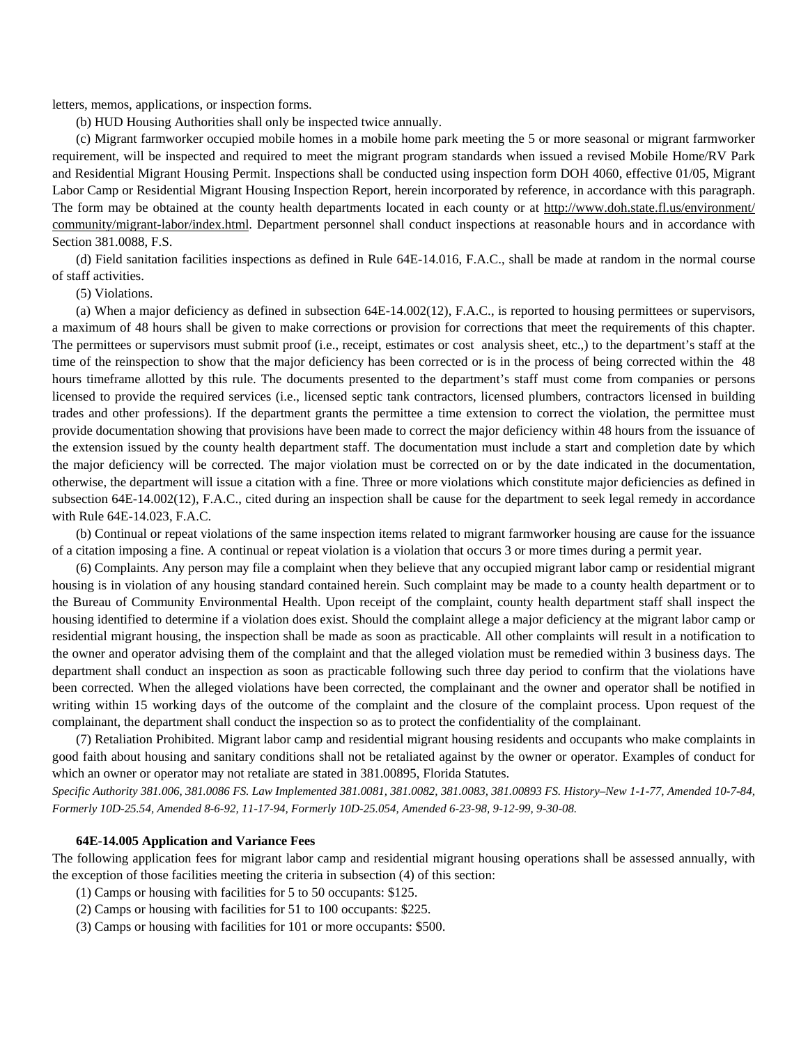letters, memos, applications, or inspection forms.

(b) HUD Housing Authorities shall only be inspected twice annually.

(c) Migrant farmworker occupied mobile homes in a mobile home park meeting the 5 or more seasonal or migrant farmworker requirement, will be inspected and required to meet the migrant program standards when issued a revised Mobile Home/RV Park and Residential Migrant Housing Permit. Inspections shall be conducted using inspection form DOH 4060, effective 01/05, Migrant Labor Camp or Residential Migrant Housing Inspection Report, herein incorporated by reference, in accordance with this paragraph. The form may be obtained at the county health departments located in each county or at http://www.doh.state.fl.us/environment/ community/migrant-labor/index.html. Department personnel shall conduct inspections at reasonable hours and in accordance with Section 381.0088, F.S.

(d) Field sanitation facilities inspections as defined in Rule 64E-14.016, F.A.C., shall be made at random in the normal course of staff activities.

(5) Violations.

(a) When a major deficiency as defined in subsection 64E-14.002(12), F.A.C., is reported to housing permittees or supervisors, a maximum of 48 hours shall be given to make corrections or provision for corrections that meet the requirements of this chapter. The permittees or supervisors must submit proof (i.e., receipt, estimates or cost analysis sheet, etc.,) to the department's staff at the time of the reinspection to show that the major deficiency has been corrected or is in the process of being corrected within the 48 hours timeframe allotted by this rule. The documents presented to the department's staff must come from companies or persons licensed to provide the required services (i.e., licensed septic tank contractors, licensed plumbers, contractors licensed in building trades and other professions). If the department grants the permittee a time extension to correct the violation, the permittee must provide documentation showing that provisions have been made to correct the major deficiency within 48 hours from the issuance of the extension issued by the county health department staff. The documentation must include a start and completion date by which the major deficiency will be corrected. The major violation must be corrected on or by the date indicated in the documentation, otherwise, the department will issue a citation with a fine. Three or more violations which constitute major deficiencies as defined in subsection 64E-14.002(12), F.A.C., cited during an inspection shall be cause for the department to seek legal remedy in accordance with Rule 64E-14.023, F.A.C.

(b) Continual or repeat violations of the same inspection items related to migrant farmworker housing are cause for the issuance of a citation imposing a fine. A continual or repeat violation is a violation that occurs 3 or more times during a permit year.

(6) Complaints. Any person may file a complaint when they believe that any occupied migrant labor camp or residential migrant housing is in violation of any housing standard contained herein. Such complaint may be made to a county health department or to the Bureau of Community Environmental Health. Upon receipt of the complaint, county health department staff shall inspect the housing identified to determine if a violation does exist. Should the complaint allege a major deficiency at the migrant labor camp or residential migrant housing, the inspection shall be made as soon as practicable. All other complaints will result in a notification to the owner and operator advising them of the complaint and that the alleged violation must be remedied within 3 business days. The department shall conduct an inspection as soon as practicable following such three day period to confirm that the violations have been corrected. When the alleged violations have been corrected, the complainant and the owner and operator shall be notified in writing within 15 working days of the outcome of the complaint and the closure of the complaint process. Upon request of the complainant, the department shall conduct the inspection so as to protect the confidentiality of the complainant.

(7) Retaliation Prohibited. Migrant labor camp and residential migrant housing residents and occupants who make complaints in good faith about housing and sanitary conditions shall not be retaliated against by the owner or operator. Examples of conduct for which an owner or operator may not retaliate are stated in 381.00895, Florida Statutes.

*Specific Authority 381.006, 381.0086 FS. Law Implemented 381.0081, 381.0082, 381.0083, 381.00893 FS. History–New 1-1-77, Amended 10-7-84, Formerly 10D-25.54, Amended 8-6-92, 11-17-94, Formerly 10D-25.054, Amended 6-23-98, 9-12-99, 9-30-08.* 

# **64E-14.005 Application and Variance Fees**

The following application fees for migrant labor camp and residential migrant housing operations shall be assessed annually, with the exception of those facilities meeting the criteria in subsection (4) of this section:

- (1) Camps or housing with facilities for 5 to 50 occupants: \$125.
- (2) Camps or housing with facilities for 51 to 100 occupants: \$225.
- (3) Camps or housing with facilities for 101 or more occupants: \$500.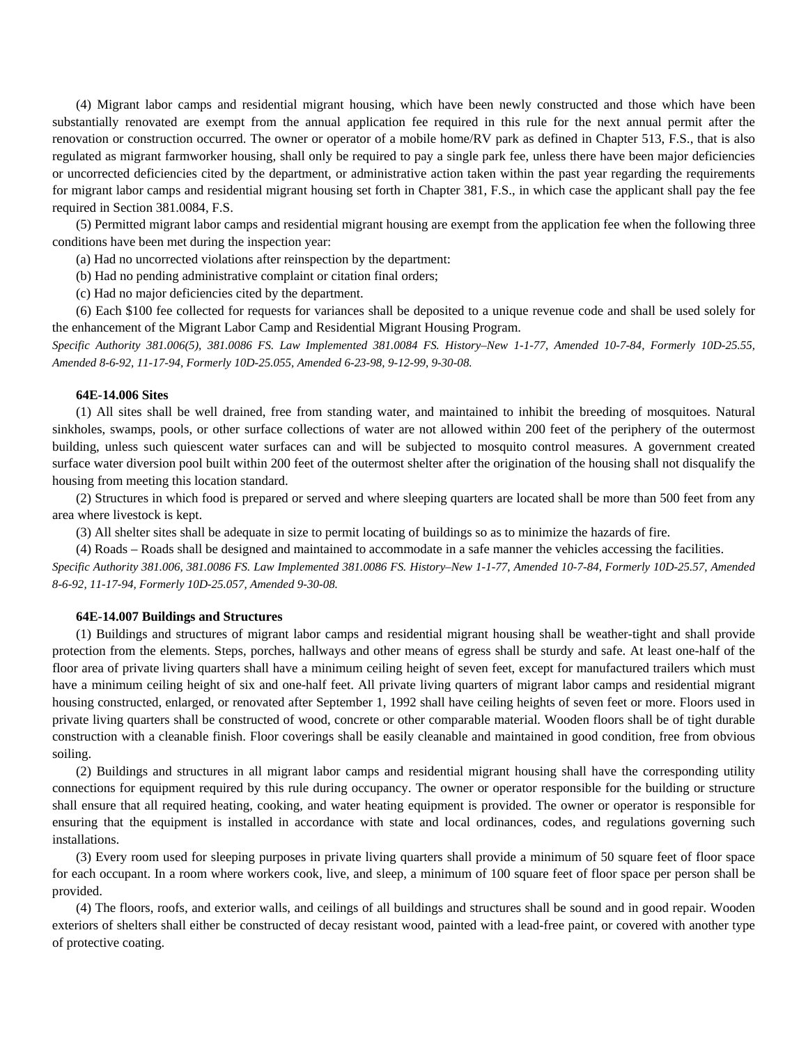(4) Migrant labor camps and residential migrant housing, which have been newly constructed and those which have been substantially renovated are exempt from the annual application fee required in this rule for the next annual permit after the renovation or construction occurred. The owner or operator of a mobile home/RV park as defined in Chapter 513, F.S., that is also regulated as migrant farmworker housing, shall only be required to pay a single park fee, unless there have been major deficiencies or uncorrected deficiencies cited by the department, or administrative action taken within the past year regarding the requirements for migrant labor camps and residential migrant housing set forth in Chapter 381, F.S., in which case the applicant shall pay the fee required in Section 381.0084, F.S.

(5) Permitted migrant labor camps and residential migrant housing are exempt from the application fee when the following three conditions have been met during the inspection year:

(a) Had no uncorrected violations after reinspection by the department:

(b) Had no pending administrative complaint or citation final orders;

(c) Had no major deficiencies cited by the department.

(6) Each \$100 fee collected for requests for variances shall be deposited to a unique revenue code and shall be used solely for the enhancement of the Migrant Labor Camp and Residential Migrant Housing Program.

*Specific Authority 381.006(5), 381.0086 FS. Law Implemented 381.0084 FS. History–New 1-1-77, Amended 10-7-84, Formerly 10D-25.55, Amended 8-6-92, 11-17-94, Formerly 10D-25.055, Amended 6-23-98, 9-12-99, 9-30-08.* 

## **64E-14.006 Sites**

(1) All sites shall be well drained, free from standing water, and maintained to inhibit the breeding of mosquitoes. Natural sinkholes, swamps, pools, or other surface collections of water are not allowed within 200 feet of the periphery of the outermost building, unless such quiescent water surfaces can and will be subjected to mosquito control measures. A government created surface water diversion pool built within 200 feet of the outermost shelter after the origination of the housing shall not disqualify the housing from meeting this location standard.

(2) Structures in which food is prepared or served and where sleeping quarters are located shall be more than 500 feet from any area where livestock is kept.

(3) All shelter sites shall be adequate in size to permit locating of buildings so as to minimize the hazards of fire.

(4) Roads – Roads shall be designed and maintained to accommodate in a safe manner the vehicles accessing the facilities.

*Specific Authority 381.006, 381.0086 FS. Law Implemented 381.0086 FS. History–New 1-1-77, Amended 10-7-84, Formerly 10D-25.57, Amended 8-6-92, 11-17-94, Formerly 10D-25.057, Amended 9-30-08.* 

# **64E-14.007 Buildings and Structures**

(1) Buildings and structures of migrant labor camps and residential migrant housing shall be weather-tight and shall provide protection from the elements. Steps, porches, hallways and other means of egress shall be sturdy and safe. At least one-half of the floor area of private living quarters shall have a minimum ceiling height of seven feet, except for manufactured trailers which must have a minimum ceiling height of six and one-half feet. All private living quarters of migrant labor camps and residential migrant housing constructed, enlarged, or renovated after September 1, 1992 shall have ceiling heights of seven feet or more. Floors used in private living quarters shall be constructed of wood, concrete or other comparable material. Wooden floors shall be of tight durable construction with a cleanable finish. Floor coverings shall be easily cleanable and maintained in good condition, free from obvious soiling.

(2) Buildings and structures in all migrant labor camps and residential migrant housing shall have the corresponding utility connections for equipment required by this rule during occupancy. The owner or operator responsible for the building or structure shall ensure that all required heating, cooking, and water heating equipment is provided. The owner or operator is responsible for ensuring that the equipment is installed in accordance with state and local ordinances, codes, and regulations governing such installations.

(3) Every room used for sleeping purposes in private living quarters shall provide a minimum of 50 square feet of floor space for each occupant. In a room where workers cook, live, and sleep, a minimum of 100 square feet of floor space per person shall be provided.

(4) The floors, roofs, and exterior walls, and ceilings of all buildings and structures shall be sound and in good repair. Wooden exteriors of shelters shall either be constructed of decay resistant wood, painted with a lead-free paint, or covered with another type of protective coating.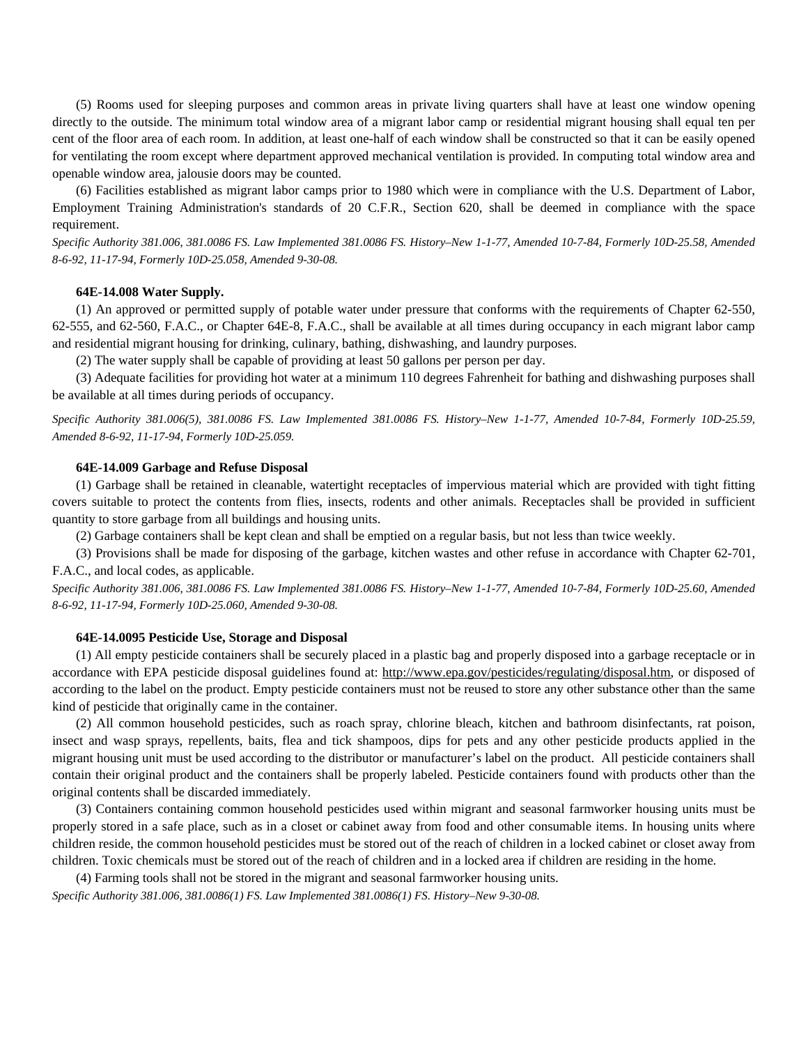(5) Rooms used for sleeping purposes and common areas in private living quarters shall have at least one window opening directly to the outside. The minimum total window area of a migrant labor camp or residential migrant housing shall equal ten per cent of the floor area of each room. In addition, at least one-half of each window shall be constructed so that it can be easily opened for ventilating the room except where department approved mechanical ventilation is provided. In computing total window area and openable window area, jalousie doors may be counted.

(6) Facilities established as migrant labor camps prior to 1980 which were in compliance with the U.S. Department of Labor, Employment Training Administration's standards of 20 C.F.R., Section 620, shall be deemed in compliance with the space requirement.

*Specific Authority 381.006, 381.0086 FS. Law Implemented 381.0086 FS. History–New 1-1-77, Amended 10-7-84, Formerly 10D-25.58, Amended 8-6-92, 11-17-94, Formerly 10D-25.058, Amended 9-30-08.* 

# **64E-14.008 Water Supply.**

(1) An approved or permitted supply of potable water under pressure that conforms with the requirements of Chapter 62-550, 62-555, and 62-560, F.A.C., or Chapter 64E-8, F.A.C., shall be available at all times during occupancy in each migrant labor camp and residential migrant housing for drinking, culinary, bathing, dishwashing, and laundry purposes.

(2) The water supply shall be capable of providing at least 50 gallons per person per day.

(3) Adequate facilities for providing hot water at a minimum 110 degrees Fahrenheit for bathing and dishwashing purposes shall be available at all times during periods of occupancy.

*Specific Authority 381.006(5), 381.0086 FS. Law Implemented 381.0086 FS. History–New 1-1-77, Amended 10-7-84, Formerly 10D-25.59, Amended 8-6-92, 11-17-94, Formerly 10D-25.059.* 

# **64E-14.009 Garbage and Refuse Disposal**

(1) Garbage shall be retained in cleanable, watertight receptacles of impervious material which are provided with tight fitting covers suitable to protect the contents from flies, insects, rodents and other animals. Receptacles shall be provided in sufficient quantity to store garbage from all buildings and housing units.

(2) Garbage containers shall be kept clean and shall be emptied on a regular basis, but not less than twice weekly.

(3) Provisions shall be made for disposing of the garbage, kitchen wastes and other refuse in accordance with Chapter 62-701, F.A.C., and local codes, as applicable.

*Specific Authority 381.006, 381.0086 FS. Law Implemented 381.0086 FS. History–New 1-1-77, Amended 10-7-84, Formerly 10D-25.60, Amended 8-6-92, 11-17-94, Formerly 10D-25.060, Amended 9-30-08.* 

# **64E-14.0095 Pesticide Use, Storage and Disposal**

(1) All empty pesticide containers shall be securely placed in a plastic bag and properly disposed into a garbage receptacle or in accordance with EPA pesticide disposal guidelines found at: http://www.epa.gov/pesticides/regulating/disposal.htm, or disposed of according to the label on the product. Empty pesticide containers must not be reused to store any other substance other than the same kind of pesticide that originally came in the container.

(2) All common household pesticides, such as roach spray, chlorine bleach, kitchen and bathroom disinfectants, rat poison, insect and wasp sprays, repellents, baits, flea and tick shampoos, dips for pets and any other pesticide products applied in the migrant housing unit must be used according to the distributor or manufacturer's label on the product. All pesticide containers shall contain their original product and the containers shall be properly labeled. Pesticide containers found with products other than the original contents shall be discarded immediately.

(3) Containers containing common household pesticides used within migrant and seasonal farmworker housing units must be properly stored in a safe place, such as in a closet or cabinet away from food and other consumable items. In housing units where children reside, the common household pesticides must be stored out of the reach of children in a locked cabinet or closet away from children. Toxic chemicals must be stored out of the reach of children and in a locked area if children are residing in the home.

(4) Farming tools shall not be stored in the migrant and seasonal farmworker housing units. *Specific Authority 381.006, 381.0086(1) FS. Law Implemented 381.0086(1) FS. History–New 9-30-08.*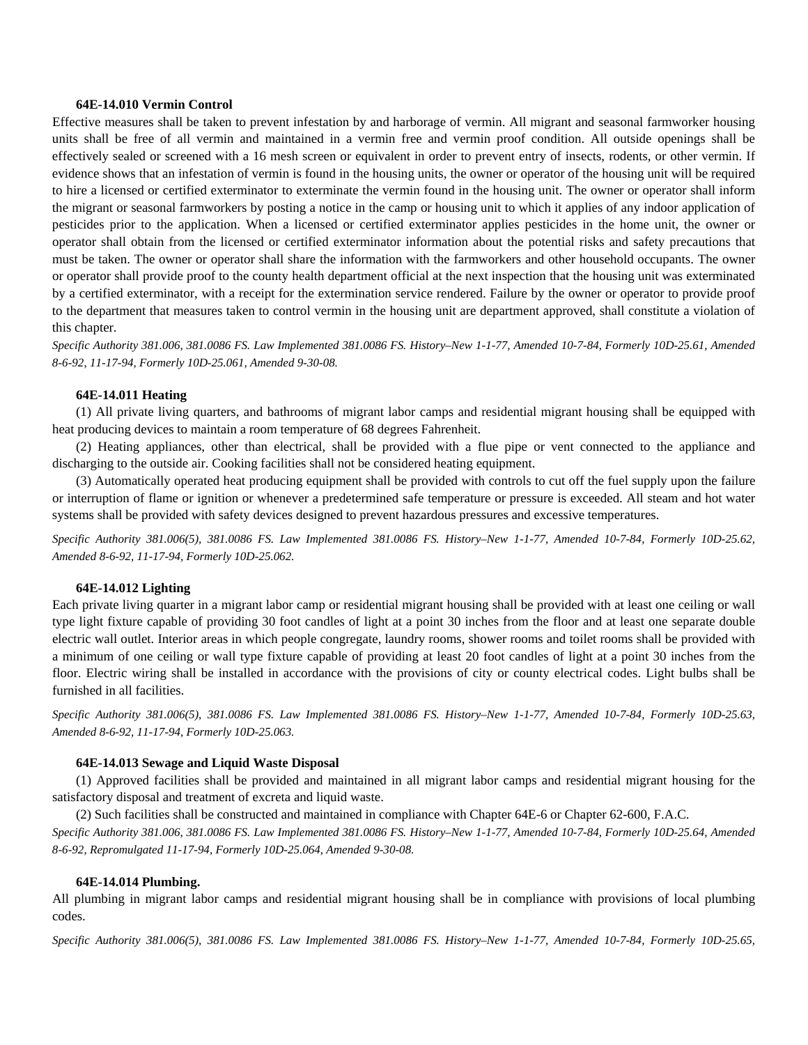## **64E-14.010 Vermin Control**

Effective measures shall be taken to prevent infestation by and harborage of vermin. All migrant and seasonal farmworker housing units shall be free of all vermin and maintained in a vermin free and vermin proof condition. All outside openings shall be effectively sealed or screened with a 16 mesh screen or equivalent in order to prevent entry of insects, rodents, or other vermin. If evidence shows that an infestation of vermin is found in the housing units, the owner or operator of the housing unit will be required to hire a licensed or certified exterminator to exterminate the vermin found in the housing unit. The owner or operator shall inform the migrant or seasonal farmworkers by posting a notice in the camp or housing unit to which it applies of any indoor application of pesticides prior to the application. When a licensed or certified exterminator applies pesticides in the home unit, the owner or operator shall obtain from the licensed or certified exterminator information about the potential risks and safety precautions that must be taken. The owner or operator shall share the information with the farmworkers and other household occupants. The owner or operator shall provide proof to the county health department official at the next inspection that the housing unit was exterminated by a certified exterminator, with a receipt for the extermination service rendered. Failure by the owner or operator to provide proof to the department that measures taken to control vermin in the housing unit are department approved, shall constitute a violation of this chapter.

*Specific Authority 381.006, 381.0086 FS. Law Implemented 381.0086 FS. History–New 1-1-77, Amended 10-7-84, Formerly 10D-25.61, Amended 8-6-92, 11-17-94, Formerly 10D-25.061, Amended 9-30-08.* 

#### **64E-14.011 Heating**

(1) All private living quarters, and bathrooms of migrant labor camps and residential migrant housing shall be equipped with heat producing devices to maintain a room temperature of 68 degrees Fahrenheit.

(2) Heating appliances, other than electrical, shall be provided with a flue pipe or vent connected to the appliance and discharging to the outside air. Cooking facilities shall not be considered heating equipment.

(3) Automatically operated heat producing equipment shall be provided with controls to cut off the fuel supply upon the failure or interruption of flame or ignition or whenever a predetermined safe temperature or pressure is exceeded. All steam and hot water systems shall be provided with safety devices designed to prevent hazardous pressures and excessive temperatures.

*Specific Authority 381.006(5), 381.0086 FS. Law Implemented 381.0086 FS. History–New 1-1-77, Amended 10-7-84, Formerly 10D-25.62, Amended 8-6-92, 11-17-94, Formerly 10D-25.062.* 

# **64E-14.012 Lighting**

Each private living quarter in a migrant labor camp or residential migrant housing shall be provided with at least one ceiling or wall type light fixture capable of providing 30 foot candles of light at a point 30 inches from the floor and at least one separate double electric wall outlet. Interior areas in which people congregate, laundry rooms, shower rooms and toilet rooms shall be provided with a minimum of one ceiling or wall type fixture capable of providing at least 20 foot candles of light at a point 30 inches from the floor. Electric wiring shall be installed in accordance with the provisions of city or county electrical codes. Light bulbs shall be furnished in all facilities.

*Specific Authority 381.006(5), 381.0086 FS. Law Implemented 381.0086 FS. History–New 1-1-77, Amended 10-7-84, Formerly 10D-25.63, Amended 8-6-92, 11-17-94, Formerly 10D-25.063.* 

## **64E-14.013 Sewage and Liquid Waste Disposal**

(1) Approved facilities shall be provided and maintained in all migrant labor camps and residential migrant housing for the satisfactory disposal and treatment of excreta and liquid waste.

(2) Such facilities shall be constructed and maintained in compliance with Chapter 64E-6 or Chapter 62-600, F.A.C. *Specific Authority 381.006, 381.0086 FS. Law Implemented 381.0086 FS. History–New 1-1-77, Amended 10-7-84, Formerly 10D-25.64, Amended 8-6-92, Repromulgated 11-17-94, Formerly 10D-25.064, Amended 9-30-08.* 

# **64E-14.014 Plumbing.**

All plumbing in migrant labor camps and residential migrant housing shall be in compliance with provisions of local plumbing codes.

*Specific Authority 381.006(5), 381.0086 FS. Law Implemented 381.0086 FS. History–New 1-1-77, Amended 10-7-84, Formerly 10D-25.65,*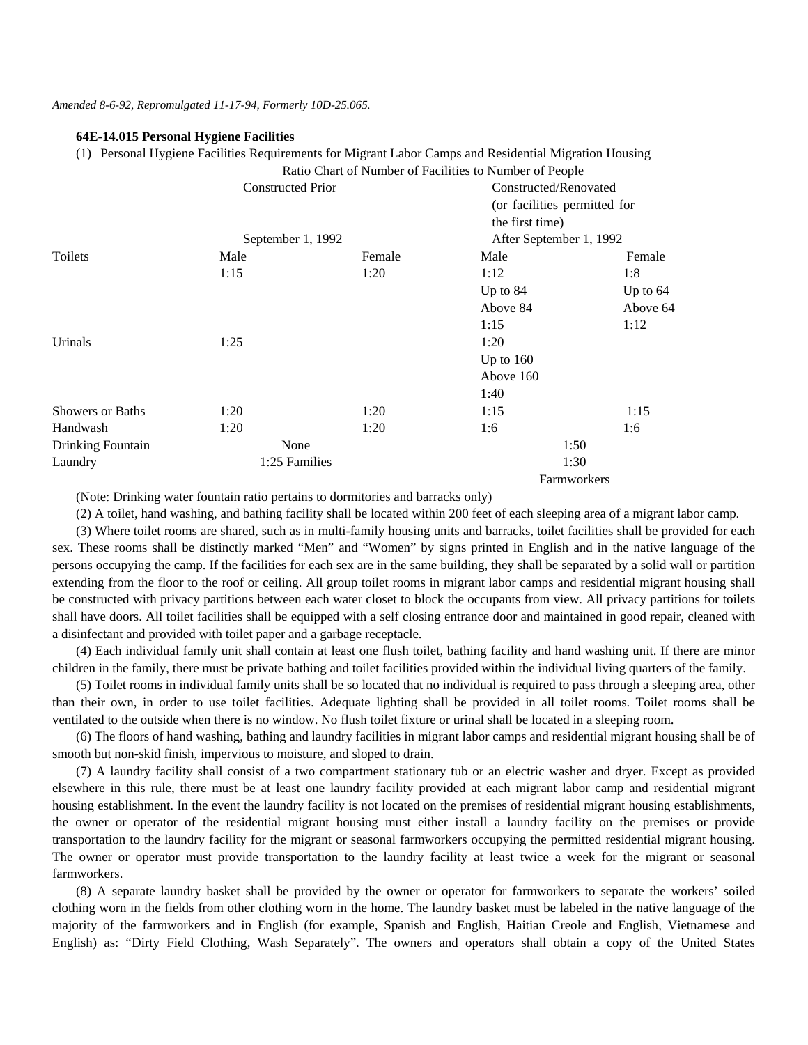#### *Amended 8-6-92, Repromulgated 11-17-94, Formerly 10D-25.065.*

# **64E-14.015 Personal Hygiene Facilities**

(1) Personal Hygiene Facilities Requirements for Migrant Labor Camps and Residential Migration Housing

|                         | Ratio Chart of Number of Facilities to Number of People |        |                                                       |            |
|-------------------------|---------------------------------------------------------|--------|-------------------------------------------------------|------------|
|                         | <b>Constructed Prior</b>                                |        | Constructed/Renovated<br>(or facilities permitted for |            |
|                         |                                                         |        |                                                       |            |
|                         |                                                         |        | the first time)                                       |            |
|                         | September 1, 1992                                       |        | After September 1, 1992                               |            |
| Toilets                 | Male                                                    | Female | Male                                                  | Female     |
|                         | 1:15                                                    | 1:20   | 1:12                                                  | 1:8        |
|                         |                                                         |        | Up to $84$                                            | Up to $64$ |
|                         |                                                         |        | Above 84                                              | Above 64   |
|                         |                                                         |        | 1:15                                                  | 1:12       |
| Urinals                 | 1:25                                                    |        | 1:20                                                  |            |
|                         |                                                         |        | Up to $160$                                           |            |
|                         |                                                         |        | Above 160                                             |            |
|                         |                                                         |        | 1:40                                                  |            |
| <b>Showers or Baths</b> | 1:20                                                    | 1:20   | 1:15                                                  | 1:15       |
| Handwash                | 1:20                                                    | 1:20   | 1:6                                                   | 1:6        |
| Drinking Fountain       | None                                                    |        | 1:50                                                  |            |
| Laundry                 | 1:25 Families                                           |        | 1:30                                                  |            |
|                         |                                                         |        | Farmworkers                                           |            |

(Note: Drinking water fountain ratio pertains to dormitories and barracks only)

(2) A toilet, hand washing, and bathing facility shall be located within 200 feet of each sleeping area of a migrant labor camp. (3) Where toilet rooms are shared, such as in multi-family housing units and barracks, toilet facilities shall be provided for each sex. These rooms shall be distinctly marked "Men" and "Women" by signs printed in English and in the native language of the persons occupying the camp. If the facilities for each sex are in the same building, they shall be separated by a solid wall or partition extending from the floor to the roof or ceiling. All group toilet rooms in migrant labor camps and residential migrant housing shall be constructed with privacy partitions between each water closet to block the occupants from view. All privacy partitions for toilets shall have doors. All toilet facilities shall be equipped with a self closing entrance door and maintained in good repair, cleaned with a disinfectant and provided with toilet paper and a garbage receptacle.

(4) Each individual family unit shall contain at least one flush toilet, bathing facility and hand washing unit. If there are minor children in the family, there must be private bathing and toilet facilities provided within the individual living quarters of the family.

(5) Toilet rooms in individual family units shall be so located that no individual is required to pass through a sleeping area, other than their own, in order to use toilet facilities. Adequate lighting shall be provided in all toilet rooms. Toilet rooms shall be ventilated to the outside when there is no window. No flush toilet fixture or urinal shall be located in a sleeping room.

(6) The floors of hand washing, bathing and laundry facilities in migrant labor camps and residential migrant housing shall be of smooth but non-skid finish, impervious to moisture, and sloped to drain.

(7) A laundry facility shall consist of a two compartment stationary tub or an electric washer and dryer. Except as provided elsewhere in this rule, there must be at least one laundry facility provided at each migrant labor camp and residential migrant housing establishment. In the event the laundry facility is not located on the premises of residential migrant housing establishments, the owner or operator of the residential migrant housing must either install a laundry facility on the premises or provide transportation to the laundry facility for the migrant or seasonal farmworkers occupying the permitted residential migrant housing. The owner or operator must provide transportation to the laundry facility at least twice a week for the migrant or seasonal farmworkers.

(8) A separate laundry basket shall be provided by the owner or operator for farmworkers to separate the workers' soiled clothing worn in the fields from other clothing worn in the home. The laundry basket must be labeled in the native language of the majority of the farmworkers and in English (for example, Spanish and English, Haitian Creole and English, Vietnamese and English) as: "Dirty Field Clothing, Wash Separately". The owners and operators shall obtain a copy of the United States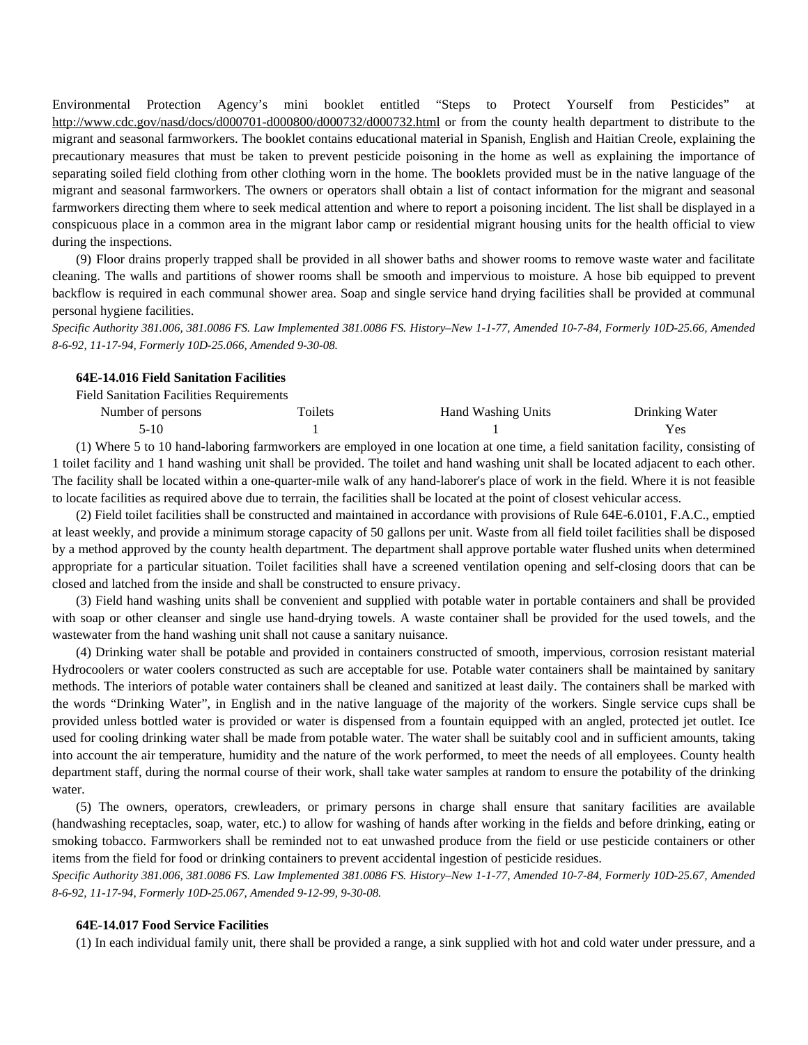Environmental Protection Agency's mini booklet entitled "Steps to Protect Yourself from Pesticides" at http://www.cdc.gov/nasd/docs/d000701-d000800/d000732/d000732.html or from the county health department to distribute to the migrant and seasonal farmworkers. The booklet contains educational material in Spanish, English and Haitian Creole, explaining the precautionary measures that must be taken to prevent pesticide poisoning in the home as well as explaining the importance of separating soiled field clothing from other clothing worn in the home. The booklets provided must be in the native language of the migrant and seasonal farmworkers. The owners or operators shall obtain a list of contact information for the migrant and seasonal farmworkers directing them where to seek medical attention and where to report a poisoning incident. The list shall be displayed in a conspicuous place in a common area in the migrant labor camp or residential migrant housing units for the health official to view during the inspections.

(9) Floor drains properly trapped shall be provided in all shower baths and shower rooms to remove waste water and facilitate cleaning. The walls and partitions of shower rooms shall be smooth and impervious to moisture. A hose bib equipped to prevent backflow is required in each communal shower area. Soap and single service hand drying facilities shall be provided at communal personal hygiene facilities.

*Specific Authority 381.006, 381.0086 FS. Law Implemented 381.0086 FS. History–New 1-1-77, Amended 10-7-84, Formerly 10D-25.66, Amended 8-6-92, 11-17-94, Formerly 10D-25.066, Amended 9-30-08.* 

# **64E-14.016 Field Sanitation Facilities**

| <b>Field Sanitation Facilities Requirements</b> |         |                    |                |
|-------------------------------------------------|---------|--------------------|----------------|
| Number of persons                               | Toilets | Hand Washing Units | Drinking Water |
| 5-10                                            |         |                    | Yes.           |

(1) Where 5 to 10 hand-laboring farmworkers are employed in one location at one time, a field sanitation facility, consisting of 1 toilet facility and 1 hand washing unit shall be provided. The toilet and hand washing unit shall be located adjacent to each other. The facility shall be located within a one-quarter-mile walk of any hand-laborer's place of work in the field. Where it is not feasible to locate facilities as required above due to terrain, the facilities shall be located at the point of closest vehicular access.

(2) Field toilet facilities shall be constructed and maintained in accordance with provisions of Rule 64E-6.0101, F.A.C., emptied at least weekly, and provide a minimum storage capacity of 50 gallons per unit. Waste from all field toilet facilities shall be disposed by a method approved by the county health department. The department shall approve portable water flushed units when determined appropriate for a particular situation. Toilet facilities shall have a screened ventilation opening and self-closing doors that can be closed and latched from the inside and shall be constructed to ensure privacy.

(3) Field hand washing units shall be convenient and supplied with potable water in portable containers and shall be provided with soap or other cleanser and single use hand-drying towels. A waste container shall be provided for the used towels, and the wastewater from the hand washing unit shall not cause a sanitary nuisance.

(4) Drinking water shall be potable and provided in containers constructed of smooth, impervious, corrosion resistant material Hydrocoolers or water coolers constructed as such are acceptable for use. Potable water containers shall be maintained by sanitary methods. The interiors of potable water containers shall be cleaned and sanitized at least daily. The containers shall be marked with the words "Drinking Water", in English and in the native language of the majority of the workers. Single service cups shall be provided unless bottled water is provided or water is dispensed from a fountain equipped with an angled, protected jet outlet. Ice used for cooling drinking water shall be made from potable water. The water shall be suitably cool and in sufficient amounts, taking into account the air temperature, humidity and the nature of the work performed, to meet the needs of all employees. County health department staff, during the normal course of their work, shall take water samples at random to ensure the potability of the drinking water.

(5) The owners, operators, crewleaders, or primary persons in charge shall ensure that sanitary facilities are available (handwashing receptacles, soap, water, etc.) to allow for washing of hands after working in the fields and before drinking, eating or smoking tobacco. Farmworkers shall be reminded not to eat unwashed produce from the field or use pesticide containers or other items from the field for food or drinking containers to prevent accidental ingestion of pesticide residues.

*Specific Authority 381.006, 381.0086 FS. Law Implemented 381.0086 FS. History–New 1-1-77, Amended 10-7-84, Formerly 10D-25.67, Amended 8-6-92, 11-17-94, Formerly 10D-25.067, Amended 9-12-99, 9-30-08.* 

#### **64E-14.017 Food Service Facilities**

(1) In each individual family unit, there shall be provided a range, a sink supplied with hot and cold water under pressure, and a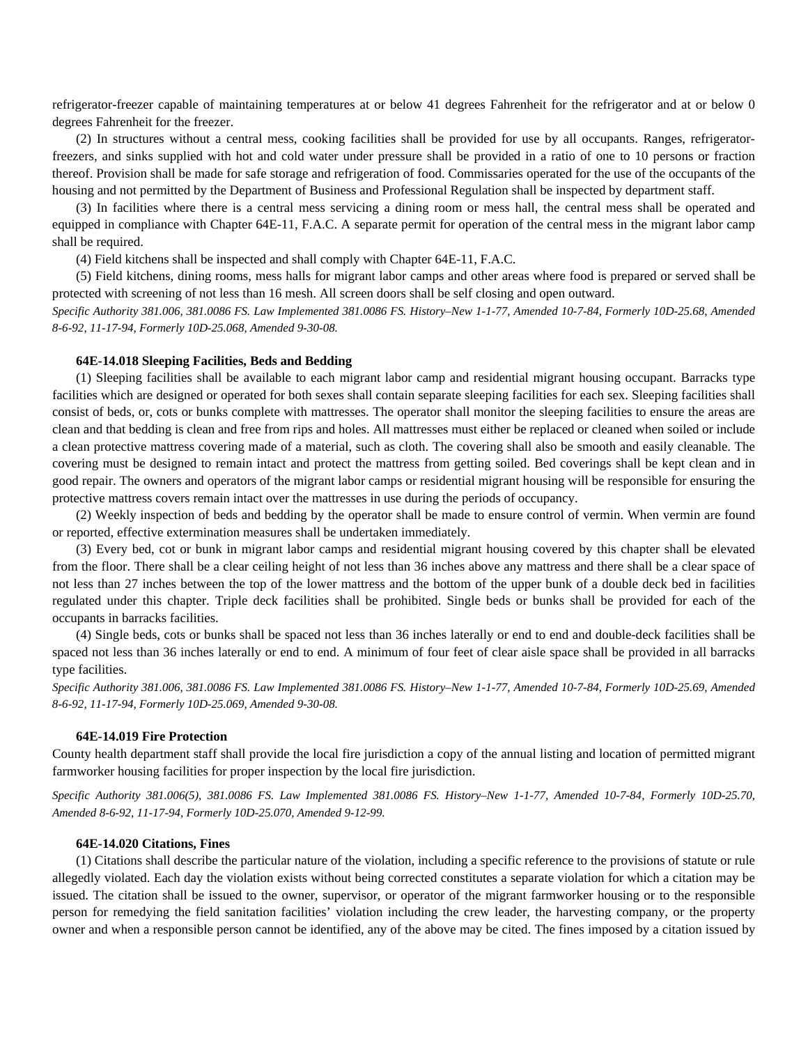refrigerator-freezer capable of maintaining temperatures at or below 41 degrees Fahrenheit for the refrigerator and at or below 0 degrees Fahrenheit for the freezer.

(2) In structures without a central mess, cooking facilities shall be provided for use by all occupants. Ranges, refrigeratorfreezers, and sinks supplied with hot and cold water under pressure shall be provided in a ratio of one to 10 persons or fraction thereof. Provision shall be made for safe storage and refrigeration of food. Commissaries operated for the use of the occupants of the housing and not permitted by the Department of Business and Professional Regulation shall be inspected by department staff.

(3) In facilities where there is a central mess servicing a dining room or mess hall, the central mess shall be operated and equipped in compliance with Chapter 64E-11, F.A.C. A separate permit for operation of the central mess in the migrant labor camp shall be required.

(4) Field kitchens shall be inspected and shall comply with Chapter 64E-11, F.A.C.

(5) Field kitchens, dining rooms, mess halls for migrant labor camps and other areas where food is prepared or served shall be protected with screening of not less than 16 mesh. All screen doors shall be self closing and open outward.

*Specific Authority 381.006, 381.0086 FS. Law Implemented 381.0086 FS. History–New 1-1-77, Amended 10-7-84, Formerly 10D-25.68, Amended 8-6-92, 11-17-94, Formerly 10D-25.068, Amended 9-30-08.* 

## **64E-14.018 Sleeping Facilities, Beds and Bedding**

(1) Sleeping facilities shall be available to each migrant labor camp and residential migrant housing occupant. Barracks type facilities which are designed or operated for both sexes shall contain separate sleeping facilities for each sex. Sleeping facilities shall consist of beds, or, cots or bunks complete with mattresses. The operator shall monitor the sleeping facilities to ensure the areas are clean and that bedding is clean and free from rips and holes. All mattresses must either be replaced or cleaned when soiled or include a clean protective mattress covering made of a material, such as cloth. The covering shall also be smooth and easily cleanable. The covering must be designed to remain intact and protect the mattress from getting soiled. Bed coverings shall be kept clean and in good repair. The owners and operators of the migrant labor camps or residential migrant housing will be responsible for ensuring the protective mattress covers remain intact over the mattresses in use during the periods of occupancy.

(2) Weekly inspection of beds and bedding by the operator shall be made to ensure control of vermin. When vermin are found or reported, effective extermination measures shall be undertaken immediately.

(3) Every bed, cot or bunk in migrant labor camps and residential migrant housing covered by this chapter shall be elevated from the floor. There shall be a clear ceiling height of not less than 36 inches above any mattress and there shall be a clear space of not less than 27 inches between the top of the lower mattress and the bottom of the upper bunk of a double deck bed in facilities regulated under this chapter. Triple deck facilities shall be prohibited. Single beds or bunks shall be provided for each of the occupants in barracks facilities.

(4) Single beds, cots or bunks shall be spaced not less than 36 inches laterally or end to end and double-deck facilities shall be spaced not less than 36 inches laterally or end to end. A minimum of four feet of clear aisle space shall be provided in all barracks type facilities.

*Specific Authority 381.006, 381.0086 FS. Law Implemented 381.0086 FS. History–New 1-1-77, Amended 10-7-84, Formerly 10D-25.69, Amended 8-6-92, 11-17-94, Formerly 10D-25.069, Amended 9-30-08.* 

# **64E-14.019 Fire Protection**

County health department staff shall provide the local fire jurisdiction a copy of the annual listing and location of permitted migrant farmworker housing facilities for proper inspection by the local fire jurisdiction.

*Specific Authority 381.006(5), 381.0086 FS. Law Implemented 381.0086 FS. History–New 1-1-77, Amended 10-7-84, Formerly 10D-25.70, Amended 8-6-92, 11-17-94, Formerly 10D-25.070, Amended 9-12-99.* 

# **64E-14.020 Citations, Fines**

(1) Citations shall describe the particular nature of the violation, including a specific reference to the provisions of statute or rule allegedly violated. Each day the violation exists without being corrected constitutes a separate violation for which a citation may be issued. The citation shall be issued to the owner, supervisor, or operator of the migrant farmworker housing or to the responsible person for remedying the field sanitation facilities' violation including the crew leader, the harvesting company, or the property owner and when a responsible person cannot be identified, any of the above may be cited. The fines imposed by a citation issued by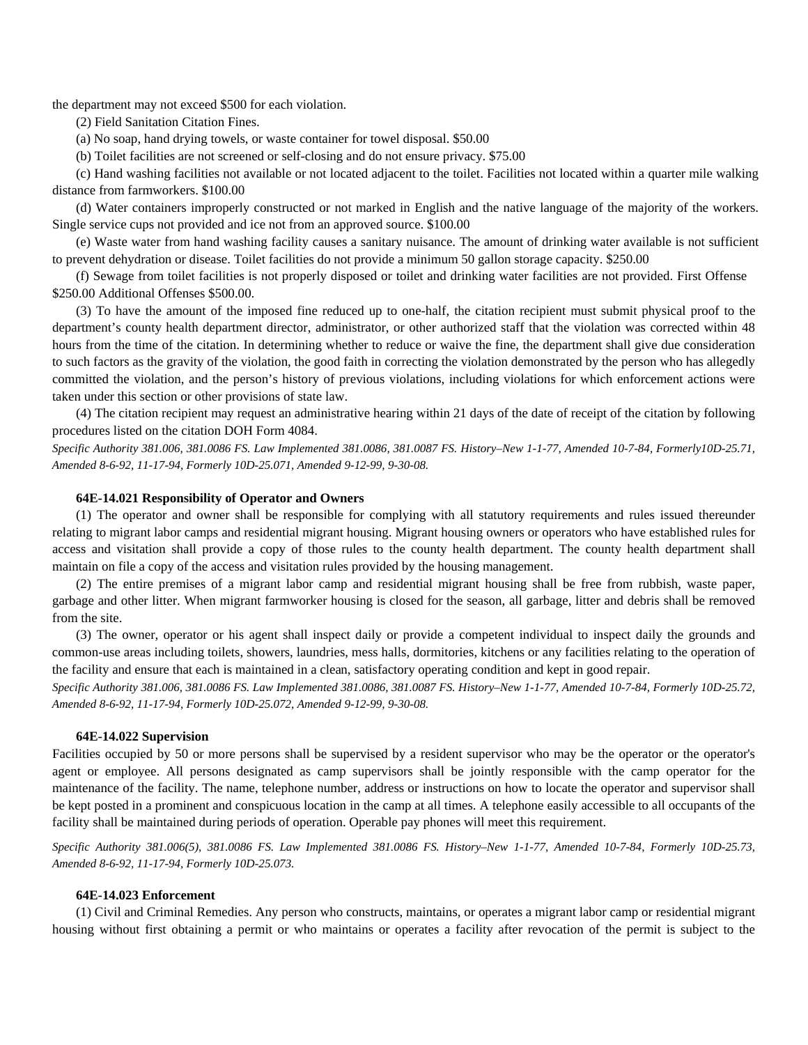the department may not exceed \$500 for each violation.

(2) Field Sanitation Citation Fines.

(a) No soap, hand drying towels, or waste container for towel disposal. \$50.00

(b) Toilet facilities are not screened or self-closing and do not ensure privacy. \$75.00

(c) Hand washing facilities not available or not located adjacent to the toilet. Facilities not located within a quarter mile walking distance from farmworkers. \$100.00

(d) Water containers improperly constructed or not marked in English and the native language of the majority of the workers. Single service cups not provided and ice not from an approved source. \$100.00

(e) Waste water from hand washing facility causes a sanitary nuisance. The amount of drinking water available is not sufficient to prevent dehydration or disease. Toilet facilities do not provide a minimum 50 gallon storage capacity. \$250.00

(f) Sewage from toilet facilities is not properly disposed or toilet and drinking water facilities are not provided. First Offense \$250.00 Additional Offenses \$500.00.

(3) To have the amount of the imposed fine reduced up to one-half, the citation recipient must submit physical proof to the department's county health department director, administrator, or other authorized staff that the violation was corrected within 48 hours from the time of the citation. In determining whether to reduce or waive the fine, the department shall give due consideration to such factors as the gravity of the violation, the good faith in correcting the violation demonstrated by the person who has allegedly committed the violation, and the person's history of previous violations, including violations for which enforcement actions were taken under this section or other provisions of state law.

(4) The citation recipient may request an administrative hearing within 21 days of the date of receipt of the citation by following procedures listed on the citation DOH Form 4084.

*Specific Authority 381.006, 381.0086 FS. Law Implemented 381.0086, 381.0087 FS. History–New 1-1-77, Amended 10-7-84, Formerly10D-25.71, Amended 8-6-92, 11-17-94, Formerly 10D-25.071, Amended 9-12-99, 9-30-08.* 

# **64E-14.021 Responsibility of Operator and Owners**

(1) The operator and owner shall be responsible for complying with all statutory requirements and rules issued thereunder relating to migrant labor camps and residential migrant housing. Migrant housing owners or operators who have established rules for access and visitation shall provide a copy of those rules to the county health department. The county health department shall maintain on file a copy of the access and visitation rules provided by the housing management.

(2) The entire premises of a migrant labor camp and residential migrant housing shall be free from rubbish, waste paper, garbage and other litter. When migrant farmworker housing is closed for the season, all garbage, litter and debris shall be removed from the site.

(3) The owner, operator or his agent shall inspect daily or provide a competent individual to inspect daily the grounds and common-use areas including toilets, showers, laundries, mess halls, dormitories, kitchens or any facilities relating to the operation of the facility and ensure that each is maintained in a clean, satisfactory operating condition and kept in good repair.

*Specific Authority 381.006, 381.0086 FS. Law Implemented 381.0086, 381.0087 FS. History–New 1-1-77, Amended 10-7-84, Formerly 10D-25.72, Amended 8-6-92, 11-17-94, Formerly 10D-25.072, Amended 9-12-99, 9-30-08.* 

# **64E-14.022 Supervision**

Facilities occupied by 50 or more persons shall be supervised by a resident supervisor who may be the operator or the operator's agent or employee. All persons designated as camp supervisors shall be jointly responsible with the camp operator for the maintenance of the facility. The name, telephone number, address or instructions on how to locate the operator and supervisor shall be kept posted in a prominent and conspicuous location in the camp at all times. A telephone easily accessible to all occupants of the facility shall be maintained during periods of operation. Operable pay phones will meet this requirement.

*Specific Authority 381.006(5), 381.0086 FS. Law Implemented 381.0086 FS. History–New 1-1-77, Amended 10-7-84, Formerly 10D-25.73, Amended 8-6-92, 11-17-94, Formerly 10D-25.073.* 

#### **64E-14.023 Enforcement**

(1) Civil and Criminal Remedies. Any person who constructs, maintains, or operates a migrant labor camp or residential migrant housing without first obtaining a permit or who maintains or operates a facility after revocation of the permit is subject to the